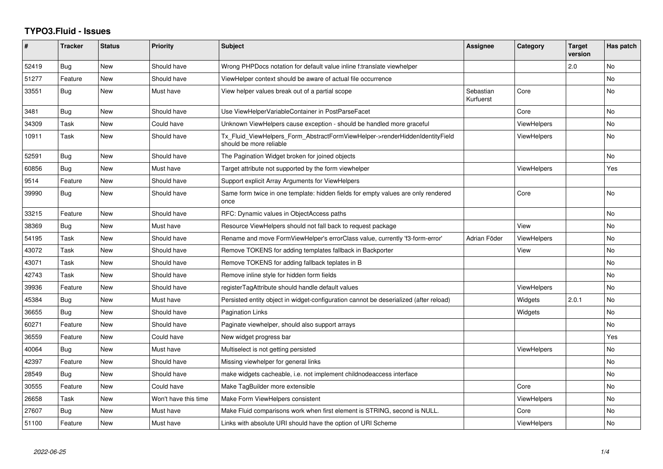## **TYPO3.Fluid - Issues**

| ∦     | <b>Tracker</b> | <b>Status</b> | <b>Priority</b>      | <b>Subject</b>                                                                                         | <b>Assignee</b>        | Category           | <b>Target</b><br>version | Has patch      |
|-------|----------------|---------------|----------------------|--------------------------------------------------------------------------------------------------------|------------------------|--------------------|--------------------------|----------------|
| 52419 | Bug            | New           | Should have          | Wrong PHPDocs notation for default value inline f:translate viewhelper                                 |                        |                    | 2.0                      | <b>No</b>      |
| 51277 | Feature        | New           | Should have          | ViewHelper context should be aware of actual file occurrence                                           |                        |                    |                          | No.            |
| 33551 | Bug            | New           | Must have            | View helper values break out of a partial scope                                                        | Sebastian<br>Kurfuerst | Core               |                          | No             |
| 3481  | Bug            | New           | Should have          | Use ViewHelperVariableContainer in PostParseFacet                                                      |                        | Core               |                          | No             |
| 34309 | Task           | New           | Could have           | Unknown ViewHelpers cause exception - should be handled more graceful                                  |                        | <b>ViewHelpers</b> |                          | No             |
| 10911 | Task           | New           | Should have          | Tx_Fluid_ViewHelpers_Form_AbstractFormViewHelper->renderHiddenIdentityField<br>should be more reliable |                        | ViewHelpers        |                          | No.            |
| 52591 | Bug            | New           | Should have          | The Pagination Widget broken for joined objects                                                        |                        |                    |                          | No.            |
| 60856 | Bug            | New           | Must have            | Target attribute not supported by the form viewhelper                                                  |                        | <b>ViewHelpers</b> |                          | Yes            |
| 9514  | Feature        | New           | Should have          | Support explicit Array Arguments for ViewHelpers                                                       |                        |                    |                          |                |
| 39990 | Bug            | New           | Should have          | Same form twice in one template: hidden fields for empty values are only rendered<br>once              |                        | Core               |                          | <b>No</b>      |
| 33215 | Feature        | New           | Should have          | RFC: Dynamic values in ObjectAccess paths                                                              |                        |                    |                          | No             |
| 38369 | <b>Bug</b>     | New           | Must have            | Resource ViewHelpers should not fall back to request package                                           |                        | View               |                          | No             |
| 54195 | Task           | New           | Should have          | Rename and move FormViewHelper's errorClass value, currently 'f3-form-error'                           | Adrian Föder           | ViewHelpers        |                          | <b>No</b>      |
| 43072 | Task           | New           | Should have          | Remove TOKENS for adding templates fallback in Backporter                                              |                        | View               |                          | <b>No</b>      |
| 43071 | Task           | New           | Should have          | Remove TOKENS for adding fallback teplates in B                                                        |                        |                    |                          | No             |
| 42743 | Task           | New           | Should have          | Remove inline style for hidden form fields                                                             |                        |                    |                          | N <sub>o</sub> |
| 39936 | Feature        | New           | Should have          | registerTagAttribute should handle default values                                                      |                        | <b>ViewHelpers</b> |                          | <b>No</b>      |
| 45384 | Bug            | New           | Must have            | Persisted entity object in widget-configuration cannot be deserialized (after reload)                  |                        | Widgets            | 2.0.1                    | <b>No</b>      |
| 36655 | Bug            | New           | Should have          | Pagination Links                                                                                       |                        | Widgets            |                          | No             |
| 60271 | Feature        | New           | Should have          | Paginate viewhelper, should also support arrays                                                        |                        |                    |                          | <b>No</b>      |
| 36559 | Feature        | New           | Could have           | New widget progress bar                                                                                |                        |                    |                          | Yes            |
| 40064 | Bug            | New           | Must have            | Multiselect is not getting persisted                                                                   |                        | <b>ViewHelpers</b> |                          | No             |
| 42397 | Feature        | New           | Should have          | Missing viewhelper for general links                                                                   |                        |                    |                          | No             |
| 28549 | Bug            | New           | Should have          | make widgets cacheable, i.e. not implement childnodeaccess interface                                   |                        |                    |                          | <b>No</b>      |
| 30555 | Feature        | New           | Could have           | Make TagBuilder more extensible                                                                        |                        | Core               |                          | No             |
| 26658 | Task           | New           | Won't have this time | Make Form ViewHelpers consistent                                                                       |                        | <b>ViewHelpers</b> |                          | No             |
| 27607 | Bug            | New           | Must have            | Make Fluid comparisons work when first element is STRING, second is NULL.                              |                        | Core               |                          | No             |
| 51100 | Feature        | New           | Must have            | Links with absolute URI should have the option of URI Scheme                                           |                        | <b>ViewHelpers</b> |                          | No.            |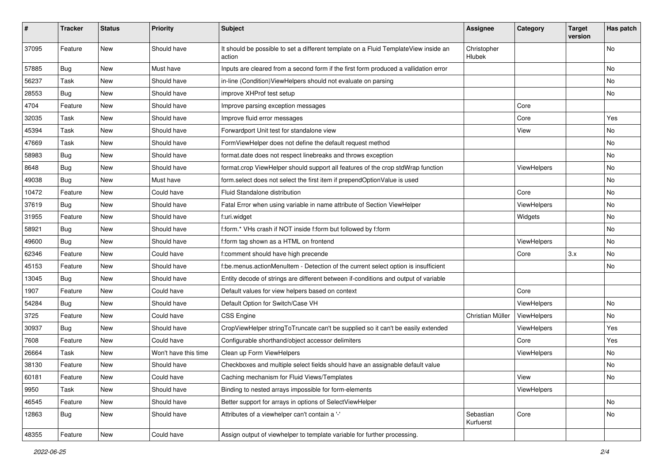| #     | <b>Tracker</b> | <b>Status</b> | Priority             | <b>Subject</b>                                                                                | <b>Assignee</b>        | Category    | <b>Target</b><br>version | Has patch |
|-------|----------------|---------------|----------------------|-----------------------------------------------------------------------------------------------|------------------------|-------------|--------------------------|-----------|
| 37095 | Feature        | New           | Should have          | It should be possible to set a different template on a Fluid TemplateView inside an<br>action | Christopher<br>Hlubek  |             |                          | <b>No</b> |
| 57885 | Bug            | New           | Must have            | Inputs are cleared from a second form if the first form produced a vallidation error          |                        |             |                          | <b>No</b> |
| 56237 | Task           | New           | Should have          | in-line (Condition) View Helpers should not evaluate on parsing                               |                        |             |                          | <b>No</b> |
| 28553 | Bug            | New           | Should have          | improve XHProf test setup                                                                     |                        |             |                          | No        |
| 4704  | Feature        | <b>New</b>    | Should have          | Improve parsing exception messages                                                            |                        | Core        |                          |           |
| 32035 | Task           | New           | Should have          | Improve fluid error messages                                                                  |                        | Core        |                          | Yes       |
| 45394 | Task           | New           | Should have          | Forwardport Unit test for standalone view                                                     |                        | View        |                          | No        |
| 47669 | Task           | <b>New</b>    | Should have          | FormViewHelper does not define the default request method                                     |                        |             |                          | No        |
| 58983 | Bug            | New           | Should have          | format.date does not respect linebreaks and throws exception                                  |                        |             |                          | No        |
| 8648  | Bug            | New           | Should have          | format.crop ViewHelper should support all features of the crop stdWrap function               |                        | ViewHelpers |                          | <b>No</b> |
| 49038 | Bug            | New           | Must have            | form.select does not select the first item if prependOptionValue is used                      |                        |             |                          | No        |
| 10472 | Feature        | New           | Could have           | Fluid Standalone distribution                                                                 |                        | Core        |                          | No        |
| 37619 | Bug            | New           | Should have          | Fatal Error when using variable in name attribute of Section ViewHelper                       |                        | ViewHelpers |                          | No        |
| 31955 | Feature        | New           | Should have          | f:uri.widget                                                                                  |                        | Widgets     |                          | No        |
| 58921 | Bug            | New           | Should have          | f:form.* VHs crash if NOT inside f:form but followed by f:form                                |                        |             |                          | No        |
| 49600 | Bug            | New           | Should have          | f:form tag shown as a HTML on frontend                                                        |                        | ViewHelpers |                          | No        |
| 62346 | Feature        | New           | Could have           | f:comment should have high precende                                                           |                        | Core        | 3.x                      | No        |
| 45153 | Feature        | <b>New</b>    | Should have          | f:be.menus.actionMenuItem - Detection of the current select option is insufficient            |                        |             |                          | <b>No</b> |
| 13045 | Bug            | New           | Should have          | Entity decode of strings are different between if-conditions and output of variable           |                        |             |                          |           |
| 1907  | Feature        | New           | Could have           | Default values for view helpers based on context                                              |                        | Core        |                          |           |
| 54284 | Bug            | New           | Should have          | Default Option for Switch/Case VH                                                             |                        | ViewHelpers |                          | No        |
| 3725  | Feature        | New           | Could have           | <b>CSS Engine</b>                                                                             | Christian Müller       | ViewHelpers |                          | No        |
| 30937 | Bug            | <b>New</b>    | Should have          | CropViewHelper stringToTruncate can't be supplied so it can't be easily extended              |                        | ViewHelpers |                          | Yes       |
| 7608  | Feature        | New           | Could have           | Configurable shorthand/object accessor delimiters                                             |                        | Core        |                          | Yes       |
| 26664 | Task           | New           | Won't have this time | Clean up Form ViewHelpers                                                                     |                        | ViewHelpers |                          | No        |
| 38130 | Feature        | New           | Should have          | Checkboxes and multiple select fields should have an assignable default value                 |                        |             |                          | No        |
| 60181 | Feature        | New           | Could have           | Caching mechanism for Fluid Views/Templates                                                   |                        | View        |                          | No        |
| 9950  | Task           | New           | Should have          | Binding to nested arrays impossible for form-elements                                         |                        | ViewHelpers |                          |           |
| 46545 | Feature        | New           | Should have          | Better support for arrays in options of SelectViewHelper                                      |                        |             |                          | No        |
| 12863 | <b>Bug</b>     | New           | Should have          | Attributes of a viewhelper can't contain a '-'                                                | Sebastian<br>Kurfuerst | Core        |                          | No        |
| 48355 | Feature        | New           | Could have           | Assign output of viewhelper to template variable for further processing.                      |                        |             |                          |           |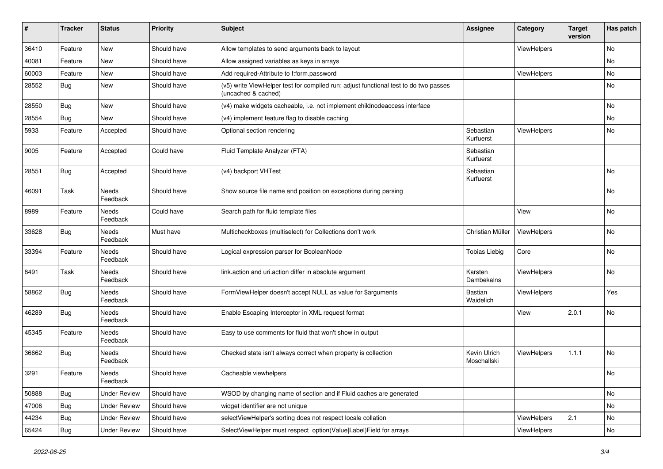| #     | <b>Tracker</b> | <b>Status</b>       | <b>Priority</b> | Subject                                                                                                     | <b>Assignee</b>             | Category    | <b>Target</b><br>version | Has patch |
|-------|----------------|---------------------|-----------------|-------------------------------------------------------------------------------------------------------------|-----------------------------|-------------|--------------------------|-----------|
| 36410 | Feature        | New                 | Should have     | Allow templates to send arguments back to layout                                                            |                             | ViewHelpers |                          | No        |
| 40081 | Feature        | New                 | Should have     | Allow assigned variables as keys in arrays                                                                  |                             |             |                          | No        |
| 60003 | Feature        | New                 | Should have     | Add required-Attribute to f:form.password                                                                   |                             | ViewHelpers |                          | No        |
| 28552 | Bug            | New                 | Should have     | (v5) write ViewHelper test for compiled run; adjust functional test to do two passes<br>(uncached & cached) |                             |             |                          | No        |
| 28550 | <b>Bug</b>     | New                 | Should have     | (v4) make widgets cacheable, i.e. not implement childnodeaccess interface                                   |                             |             |                          | <b>No</b> |
| 28554 | Bug            | New                 | Should have     | (v4) implement feature flag to disable caching                                                              |                             |             |                          | No        |
| 5933  | Feature        | Accepted            | Should have     | Optional section rendering                                                                                  | Sebastian<br>Kurfuerst      | ViewHelpers |                          | No        |
| 9005  | Feature        | Accepted            | Could have      | Fluid Template Analyzer (FTA)                                                                               | Sebastian<br>Kurfuerst      |             |                          |           |
| 28551 | <b>Bug</b>     | Accepted            | Should have     | (v4) backport VHTest                                                                                        | Sebastian<br>Kurfuerst      |             |                          | No        |
| 46091 | Task           | Needs<br>Feedback   | Should have     | Show source file name and position on exceptions during parsing                                             |                             |             |                          | No        |
| 8989  | Feature        | Needs<br>Feedback   | Could have      | Search path for fluid template files                                                                        |                             | View        |                          | No        |
| 33628 | Bug            | Needs<br>Feedback   | Must have       | Multicheckboxes (multiselect) for Collections don't work                                                    | Christian Müller            | ViewHelpers |                          | No        |
| 33394 | Feature        | Needs<br>Feedback   | Should have     | Logical expression parser for BooleanNode                                                                   | <b>Tobias Liebig</b>        | Core        |                          | No        |
| 8491  | Task           | Needs<br>Feedback   | Should have     | link.action and uri.action differ in absolute argument                                                      | Karsten<br>Dambekalns       | ViewHelpers |                          | No        |
| 58862 | Bug            | Needs<br>Feedback   | Should have     | FormViewHelper doesn't accept NULL as value for \$arguments                                                 | <b>Bastian</b><br>Waidelich | ViewHelpers |                          | Yes       |
| 46289 | <b>Bug</b>     | Needs<br>Feedback   | Should have     | Enable Escaping Interceptor in XML request format                                                           |                             | View        | 2.0.1                    | No        |
| 45345 | Feature        | Needs<br>Feedback   | Should have     | Easy to use comments for fluid that won't show in output                                                    |                             |             |                          |           |
| 36662 | Bug            | Needs<br>Feedback   | Should have     | Checked state isn't always correct when property is collection                                              | Kevin Ulrich<br>Moschallski | ViewHelpers | 1.1.1                    | <b>No</b> |
| 3291  | Feature        | Needs<br>Feedback   | Should have     | Cacheable viewhelpers                                                                                       |                             |             |                          | No        |
| 50888 | <b>Bug</b>     | <b>Under Review</b> | Should have     | WSOD by changing name of section and if Fluid caches are generated                                          |                             |             |                          | No        |
| 47006 | <b>Bug</b>     | <b>Under Review</b> | Should have     | widget identifier are not unique                                                                            |                             |             |                          | No        |
| 44234 | <b>Bug</b>     | <b>Under Review</b> | Should have     | selectViewHelper's sorting does not respect locale collation                                                |                             | ViewHelpers | 2.1                      | No        |
| 65424 | Bug            | <b>Under Review</b> | Should have     | SelectViewHelper must respect option(Value Label)Field for arrays                                           |                             | ViewHelpers |                          | No        |